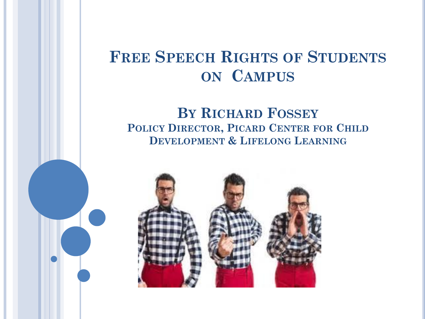#### **FREE SPEECH RIGHTS OF STUDENTS ON CAMPUS**

#### **BY RICHARD FOSSEY POLICY DIRECTOR, PICARD CENTER FOR CHILD DEVELOPMENT & LIFELONG LEARNING**

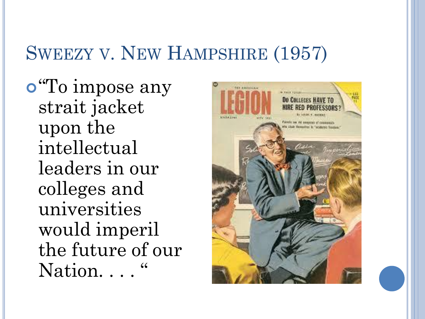## SWEEZY V. NEW HAMPSHIRE (1957)

"To impose any strait jacket upon the intellectual leaders in our colleges and universities would imperil the future of our Nation...

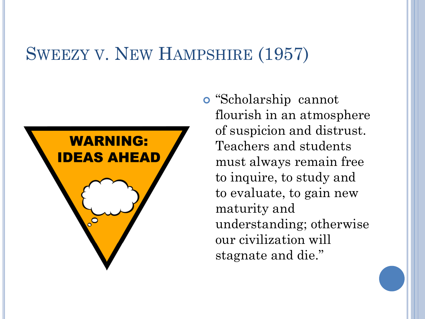#### SWEEZY V. NEW HAMPSHIRE (1957)



 "Scholarship cannot flourish in an atmosphere of suspicion and distrust. Teachers and students must always remain free to inquire, to study and to evaluate, to gain new maturity and understanding; otherwise our civilization will stagnate and die."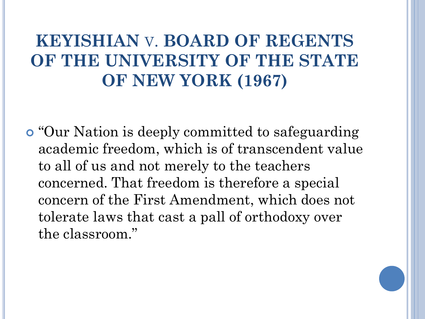## **KEYISHIAN** V. **BOARD OF REGENTS OF THE UNIVERSITY OF THE STATE OF NEW YORK (1967)**

 "Our Nation is deeply committed to safeguarding academic freedom, which is of transcendent value to all of us and not merely to the teachers concerned. That freedom is therefore a special concern of the First Amendment, which does not tolerate laws that cast a pall of orthodoxy over the classroom."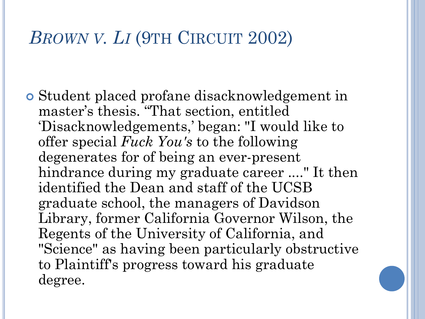## *BROWN V. LI* (9TH CIRCUIT 2002)

 Student placed profane disacknowledgement in master's thesis. "That section, entitled 'Disacknowledgements,' began: "I would like to offer special *Fuck You's* to the following degenerates for of being an ever-present hindrance during my graduate career ...." It then identified the Dean and staff of the UCSB graduate school, the managers of Davidson Library, former California Governor Wilson, the Regents of the University of California, and "Science" as having been particularly obstructive to Plaintiff's progress toward his graduate degree.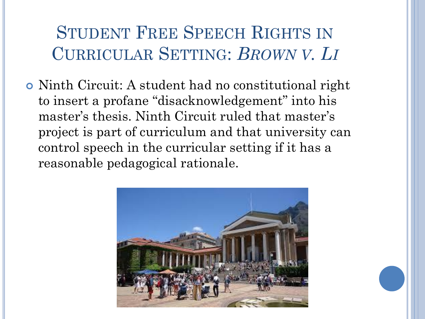## STUDENT FREE SPEECH RIGHTS IN CURRICULAR SETTING: *BROWN V. LI*

 Ninth Circuit: A student had no constitutional right to insert a profane "disacknowledgement" into his master's thesis. Ninth Circuit ruled that master's project is part of curriculum and that university can control speech in the curricular setting if it has a reasonable pedagogical rationale.

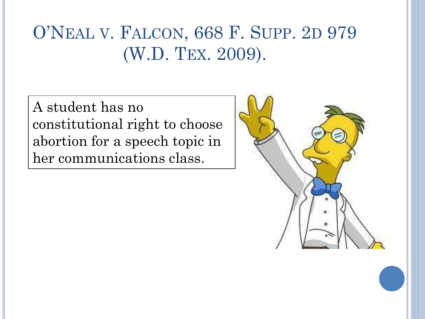## O'NEAL V. FALCON, 668 F. SUPP. 2D 979 (W.D. TEX. 2009).

A student has no constitutional right to choose abortion for a speech topic in her communications class.

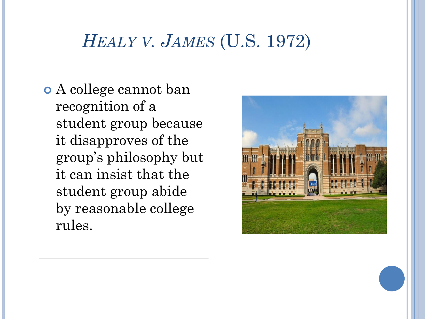## *HEALY V. JAMES* (U.S. 1972)

 A college cannot ban recognition of a student group because it disapproves of the group's philosophy but it can insist that the student group abide by reasonable college rules.

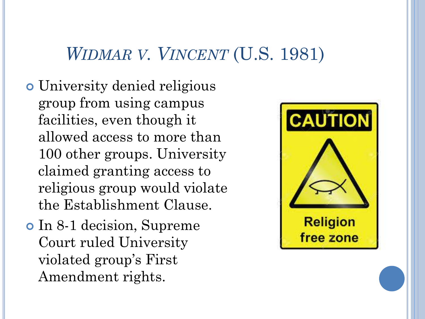#### *WIDMAR V. VINCENT* (U.S. 1981)

- University denied religious group from using campus facilities, even though it allowed access to more than 100 other groups. University claimed granting access to religious group would violate the Establishment Clause.
- In 8-1 decision, Supreme Court ruled University violated group's First Amendment rights.

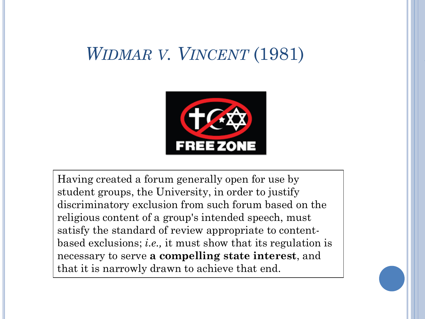### *WIDMAR V. VINCENT* (1981)



Having created a forum generally open for use by student groups, the University, in order to justify discriminatory exclusion from such forum based on the religious content of a group's intended speech, must satisfy the standard of review appropriate to contentbased exclusions; *i.e.,* it must show that its regulation is necessary to serve **a compelling state interest**, and that it is narrowly drawn to achieve that end.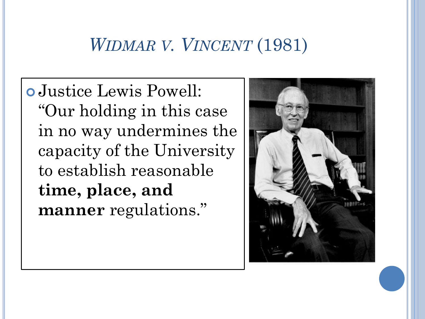## *WIDMAR V. VINCENT* (1981)

 Justice Lewis Powell: "Our holding in this case in no way undermines the capacity of the University to establish reasonable **time, place, and manner** regulations."

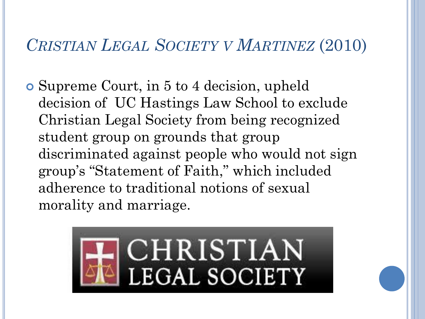#### *CRISTIAN LEGAL SOCIETY V MARTINEZ* (2010)

 Supreme Court, in 5 to 4 decision, upheld decision of UC Hastings Law School to exclude Christian Legal Society from being recognized student group on grounds that group discriminated against people who would not sign group's "Statement of Faith," which included adherence to traditional notions of sexual morality and marriage.

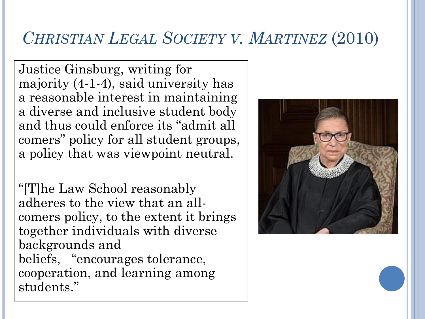#### *CHRISTIAN LEGAL SOCIETY V. MARTINEZ* (2010)

Justice Ginsburg, writing for majority (4-1-4), said university has a reasonable interest in maintaining a diverse and inclusive student body and thus could enforce its "admit all comers" policy for all student groups, a policy that was viewpoint neutral.

"[T]he Law School reasonably adheres to the view that an allcomers policy, to the extent it brings together individuals with diverse backgrounds and beliefs, "encourages tolerance, cooperation, and learning among students."

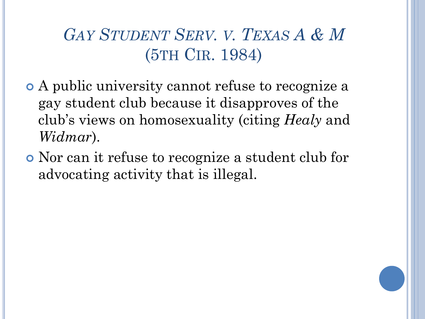*GAY STUDENT SERV. V. TEXAS A & M*  (5TH CIR. 1984)

- A public university cannot refuse to recognize a gay student club because it disapproves of the club's views on homosexuality (citing *Healy* and *Widmar*).
- Nor can it refuse to recognize a student club for advocating activity that is illegal.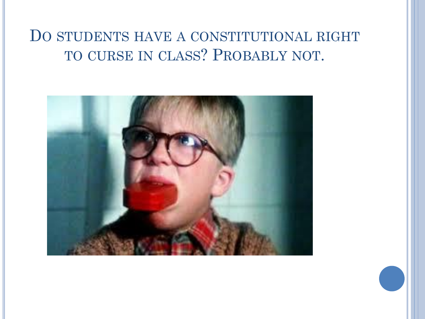#### DO STUDENTS HAVE A CONSTITUTIONAL RIGHT TO CURSE IN CLASS? PROBABLY NOT.

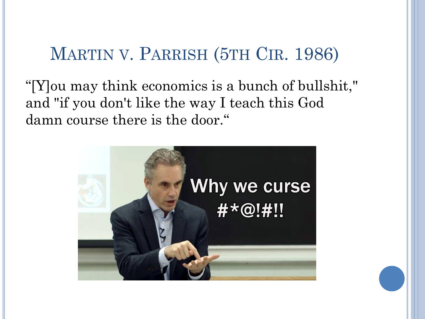### MARTIN V. PARRISH (5TH CIR. 1986)

"[Y]ou may think economics is a bunch of bullshit," and "if you don't like the way I teach this God damn course there is the door."

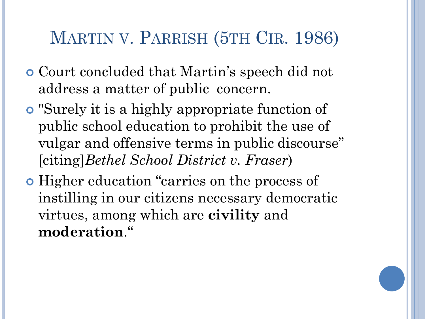## MARTIN V. PARRISH (5TH CIR. 1986)

- Court concluded that Martin's speech did not address a matter of public concern.
- "Surely it is a highly appropriate function of public school education to prohibit the use of vulgar and offensive terms in public discourse" [citing]*Bethel School District v. Fraser*)
- Higher education "carries on the process of instilling in our citizens necessary democratic virtues, among which are **civility** and **moderation**."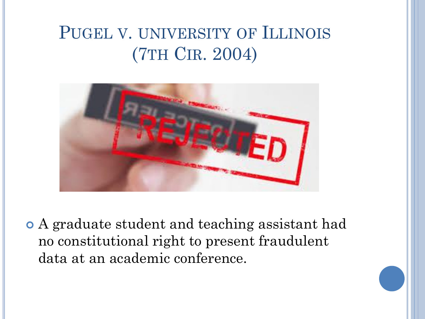## PUGEL V. UNIVERSITY OF ILLINOIS (7TH CIR. 2004)



 A graduate student and teaching assistant had no constitutional right to present fraudulent data at an academic conference.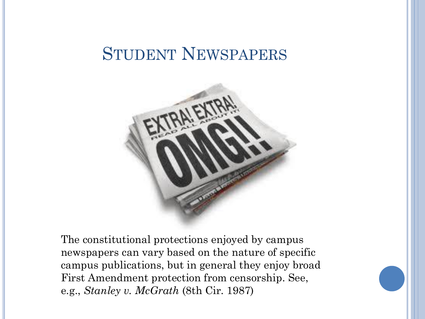#### STUDENT NEWSPAPERS



The constitutional protections enjoyed by campus newspapers can vary based on the nature of specific campus publications, but in general they enjoy broad First Amendment protection from censorship. See, e.g., *Stanley v. McGrath* (8th Cir. 1987)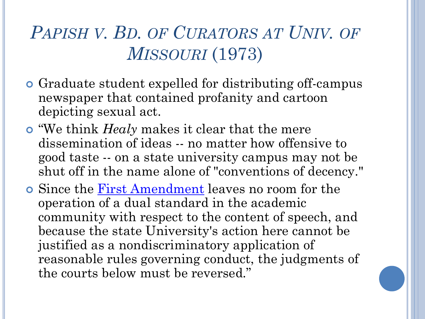## *PAPISH V. BD. OF CURATORS AT UNIV. OF MISSOURI* (1973)

- Graduate student expelled for distributing off-campus newspaper that contained profanity and cartoon depicting sexual act.
- "We think *Healy* makes it clear that the mere dissemination of ideas -- no matter how offensive to good taste -- on a state university campus may not be shut off in the name alone of "conventions of decency."
- Since the [First Amendment](http://libproxy.library.unt.edu:2090/us/lnacademic/mungo/lexseestat.do?bct=A&risb=21_T2799784273&homeCsi=6443&A=0.5477659316703991&urlEnc=ISO-8859-1&&citeString=U.S. CONST. AMEND. 1&countryCode=USA) leaves no room for the operation of a dual standard in the academic community with respect to the content of speech, and because the state University's action here cannot be justified as a nondiscriminatory application of reasonable rules governing conduct, the judgments of the courts below must be reversed."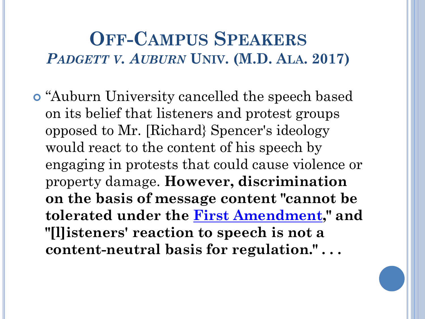### **OFF-CAMPUS SPEAKERS** *PADGETT V. AUBURN* **UNIV. (M.D. ALA. 2017)**

 "Auburn University cancelled the speech based on its belief that listeners and protest groups opposed to Mr. [Richard} Spencer's ideology would react to the content of his speech by engaging in protests that could cause violence or property damage. **However, discrimination on the basis of message content "cannot be tolerated under the [First Amendment,](http://ezproxyprod.ucs.louisiana.edu:2057/lnacui2api/mungo/lexseestat.do?bct=A&risb=21_T26002057422&homeCsi=6323&A=0.5116919721862758&urlEnc=ISO-8859-1&&citeString=U.S. CONST. AMEND. 1&countryCode=USA)" and "[l]isteners' reaction to speech is not a content-neutral basis for regulation." . . .**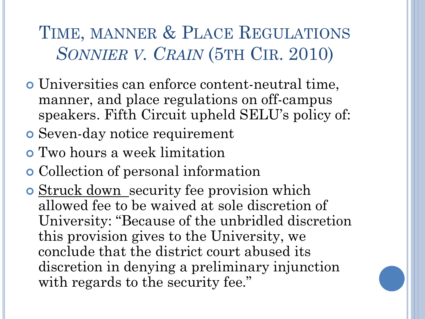TIME, MANNER & PLACE REGULATIONS *SONNIER V. CRAIN* (5TH CIR. 2010)

- Universities can enforce content-neutral time, manner, and place regulations on off-campus speakers. Fifth Circuit upheld SELU's policy of:
- Seven-day notice requirement
- Two hours a week limitation
- Collection of personal information
- o Struck down security fee provision which allowed fee to be waived at sole discretion of University: "Because of the unbridled discretion this provision gives to the University, we conclude that the district court abused its discretion in denying a preliminary injunction with regards to the security fee."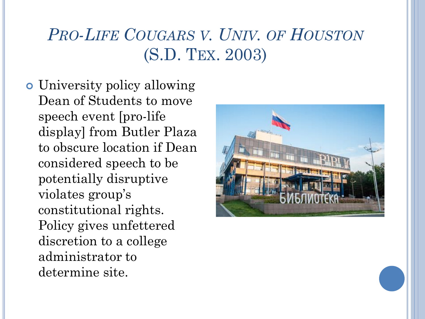## *PRO-LIFE COUGARS V. UNIV. OF HOUSTON* (S.D. TEX. 2003)

 University policy allowing Dean of Students to move speech event [pro-life display] from Butler Plaza to obscure location if Dean considered speech to be potentially disruptive violates group's constitutional rights. Policy gives unfettered discretion to a college administrator to determine site.

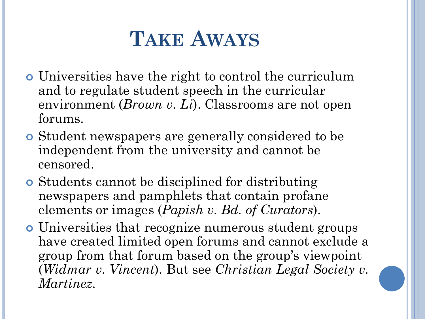# **TAKE AWAYS**

- Universities have the right to control the curriculum and to regulate student speech in the curricular environment (*Brown v. Li*). Classrooms are not open forums.
- Student newspapers are generally considered to be independent from the university and cannot be censored.
- Students cannot be disciplined for distributing newspapers and pamphlets that contain profane elements or images (*Papish v. Bd. of Curators*).
- Universities that recognize numerous student groups have created limited open forums and cannot exclude a group from that forum based on the group's viewpoint (*Widmar v. Vincent*). But see *Christian Legal Society v. Martinez*.